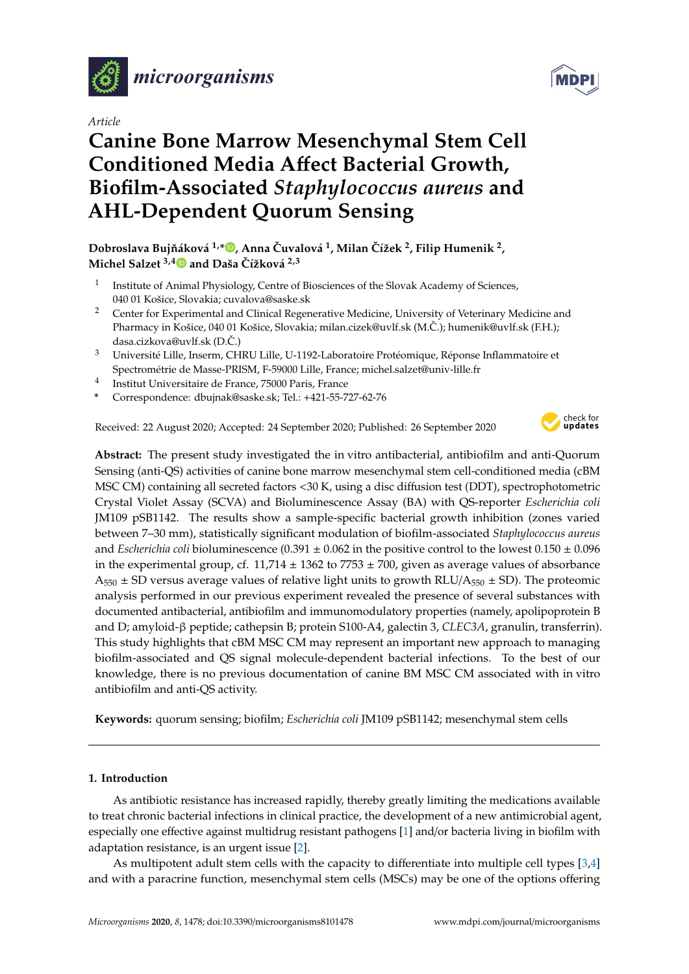

*Article*

# **Canine Bone Marrow Mesenchymal Stem Cell Conditioned Media A**ff**ect Bacterial Growth, Biofilm-Associated** *Staphylococcus aureus* **and AHL-Dependent Quorum Sensing**



# Dobroslava Bujňáková <sup>1[,](https://orcid.org/0000-0002-9963-397X)</sup>\*®, Anna Čuvalová <sup>1</sup>, Milan Čížek <sup>2</sup>, Filip Humenik <sup>2</sup>, **Michel Salzet 3,[4](https://orcid.org/0000-0003-4318-0817) and Daša Cˇ ížková 2,3**

- 1 Institute of Animal Physiology, Centre of Biosciences of the Slovak Academy of Sciences, 040 01 Košice, Slovakia; cuvalova@saske.sk
- <sup>2</sup> Center for Experimental and Clinical Regenerative Medicine, University of Veterinary Medicine and Pharmacy in Košice, 040 01 Košice, Slovakia; milan.cizek@uvlf.sk (M.Č.); humenik@uvlf.sk (F.H.); dasa.cizkova@uvlf.sk (D.C.)
- <sup>3</sup> Université Lille, Inserm, CHRU Lille, U-1192-Laboratoire Protéomique, Réponse Inflammatoire et Spectrométrie de Masse-PRISM, F-59000 Lille, France; michel.salzet@univ-lille.fr
- 4 Institut Universitaire de France, 75000 Paris, France
- **\*** Correspondence: dbujnak@saske.sk; Tel.: +421-55-727-62-76

Received: 22 August 2020; Accepted: 24 September 2020; Published: 26 September 2020



**Abstract:** The present study investigated the in vitro antibacterial, antibiofilm and anti-Quorum Sensing (anti-QS) activities of canine bone marrow mesenchymal stem cell-conditioned media (cBM MSC CM) containing all secreted factors <30 K, using a disc diffusion test (DDT), spectrophotometric Crystal Violet Assay (SCVA) and Bioluminescence Assay (BA) with QS-reporter *Escherichia coli* JM109 pSB1142. The results show a sample-specific bacterial growth inhibition (zones varied between 7–30 mm), statistically significant modulation of biofilm-associated *Staphylococcus aureus* and *Escherichia coli* bioluminescence (0.391  $\pm$  0.062 in the positive control to the lowest 0.150  $\pm$  0.096 in the experimental group, cf.  $11,714 \pm 1362$  to 7753  $\pm$  700, given as average values of absorbance  $A_{550} \pm SD$  versus average values of relative light units to growth RLU/ $A_{550} \pm SD$ ). The proteomic analysis performed in our previous experiment revealed the presence of several substances with documented antibacterial, antibiofilm and immunomodulatory properties (namely, apolipoprotein B and D; amyloid-β peptide; cathepsin B; protein S100-A4, galectin 3, *CLEC3A*, granulin, transferrin). This study highlights that cBM MSC CM may represent an important new approach to managing biofilm-associated and QS signal molecule-dependent bacterial infections. To the best of our knowledge, there is no previous documentation of canine BM MSC CM associated with in vitro antibiofilm and anti-QS activity.

**Keywords:** quorum sensing; biofilm; *Escherichia coli* JM109 pSB1142; mesenchymal stem cells

# **1. Introduction**

As antibiotic resistance has increased rapidly, thereby greatly limiting the medications available to treat chronic bacterial infections in clinical practice, the development of a new antimicrobial agent, especially one effective against multidrug resistant pathogens [\[1\]](#page-10-0) and/or bacteria living in biofilm with adaptation resistance, is an urgent issue [\[2\]](#page-10-1).

As multipotent adult stem cells with the capacity to differentiate into multiple cell types [\[3](#page-10-2)[,4\]](#page-10-3) and with a paracrine function, mesenchymal stem cells (MSCs) may be one of the options offering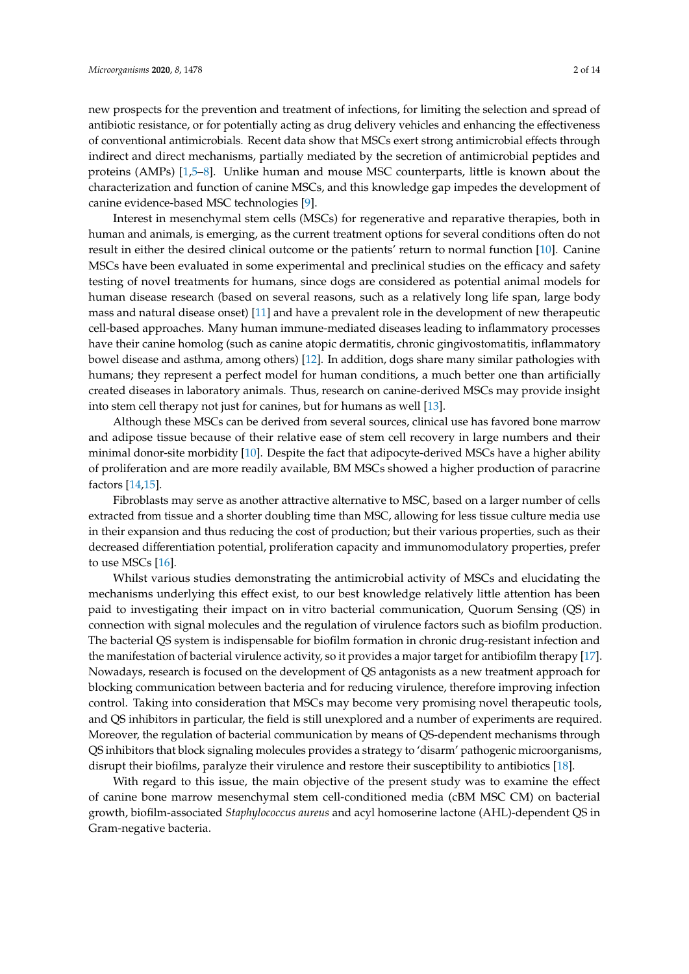new prospects for the prevention and treatment of infections, for limiting the selection and spread of antibiotic resistance, or for potentially acting as drug delivery vehicles and enhancing the effectiveness of conventional antimicrobials. Recent data show that MSCs exert strong antimicrobial effects through indirect and direct mechanisms, partially mediated by the secretion of antimicrobial peptides and proteins (AMPs) [\[1,](#page-10-0)[5–](#page-10-4)[8\]](#page-10-5). Unlike human and mouse MSC counterparts, little is known about the characterization and function of canine MSCs, and this knowledge gap impedes the development of canine evidence-based MSC technologies [\[9\]](#page-10-6).

Interest in mesenchymal stem cells (MSCs) for regenerative and reparative therapies, both in human and animals, is emerging, as the current treatment options for several conditions often do not result in either the desired clinical outcome or the patients' return to normal function [\[10\]](#page-11-0). Canine MSCs have been evaluated in some experimental and preclinical studies on the efficacy and safety testing of novel treatments for humans, since dogs are considered as potential animal models for human disease research (based on several reasons, such as a relatively long life span, large body mass and natural disease onset) [\[11\]](#page-11-1) and have a prevalent role in the development of new therapeutic cell-based approaches. Many human immune-mediated diseases leading to inflammatory processes have their canine homolog (such as canine atopic dermatitis, chronic gingivostomatitis, inflammatory bowel disease and asthma, among others) [\[12\]](#page-11-2). In addition, dogs share many similar pathologies with humans; they represent a perfect model for human conditions, a much better one than artificially created diseases in laboratory animals. Thus, research on canine-derived MSCs may provide insight into stem cell therapy not just for canines, but for humans as well [\[13\]](#page-11-3).

Although these MSCs can be derived from several sources, clinical use has favored bone marrow and adipose tissue because of their relative ease of stem cell recovery in large numbers and their minimal donor-site morbidity [\[10\]](#page-11-0). Despite the fact that adipocyte-derived MSCs have a higher ability of proliferation and are more readily available, BM MSCs showed a higher production of paracrine factors [\[14](#page-11-4)[,15\]](#page-11-5).

Fibroblasts may serve as another attractive alternative to MSC, based on a larger number of cells extracted from tissue and a shorter doubling time than MSC, allowing for less tissue culture media use in their expansion and thus reducing the cost of production; but their various properties, such as their decreased differentiation potential, proliferation capacity and immunomodulatory properties, prefer to use MSCs [\[16\]](#page-11-6).

Whilst various studies demonstrating the antimicrobial activity of MSCs and elucidating the mechanisms underlying this effect exist, to our best knowledge relatively little attention has been paid to investigating their impact on in vitro bacterial communication, Quorum Sensing (QS) in connection with signal molecules and the regulation of virulence factors such as biofilm production. The bacterial QS system is indispensable for biofilm formation in chronic drug-resistant infection and the manifestation of bacterial virulence activity, so it provides a major target for antibiofilm therapy [\[17\]](#page-11-7). Nowadays, research is focused on the development of QS antagonists as a new treatment approach for blocking communication between bacteria and for reducing virulence, therefore improving infection control. Taking into consideration that MSCs may become very promising novel therapeutic tools, and QS inhibitors in particular, the field is still unexplored and a number of experiments are required. Moreover, the regulation of bacterial communication by means of QS-dependent mechanisms through QS inhibitors that block signaling molecules provides a strategy to 'disarm' pathogenic microorganisms, disrupt their biofilms, paralyze their virulence and restore their susceptibility to antibiotics [\[18\]](#page-11-8).

With regard to this issue, the main objective of the present study was to examine the effect of canine bone marrow mesenchymal stem cell-conditioned media (cBM MSC CM) on bacterial growth, biofilm-associated *Staphylococcus aureus* and acyl homoserine lactone (AHL)-dependent QS in Gram-negative bacteria.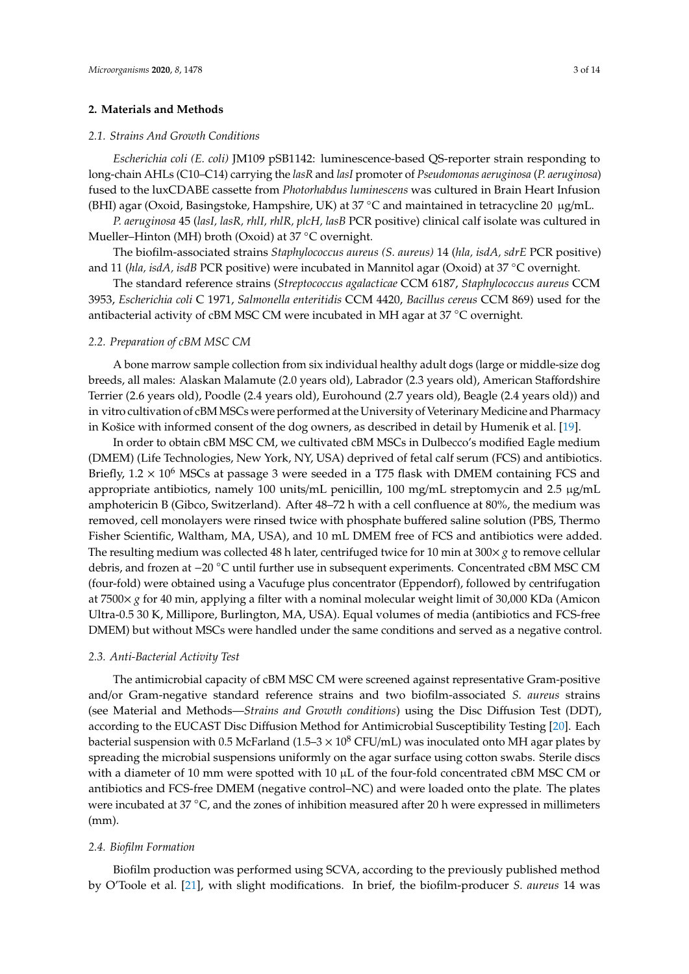# **2. Materials and Methods**

#### *2.1. Strains And Growth Conditions*

*Escherichia coli (E. coli)* JM109 pSB1142: luminescence-based QS-reporter strain responding to long-chain AHLs (C10–C14) carrying the *lasR* and *lasI* promoter of *Pseudomonas aeruginosa* (*P. aeruginosa*) fused to the luxCDABE cassette from *Photorhabdus luminescens* was cultured in Brain Heart Infusion (BHI) agar (Oxoid, Basingstoke, Hampshire, UK) at 37 ◦C and maintained in tetracycline 20 µg/mL.

*P. aeruginosa* 45 (*lasI, lasR, rhlI, rhlR, plcH, lasB* PCR positive) clinical calf isolate was cultured in Mueller–Hinton (MH) broth (Oxoid) at 37 ◦C overnight.

The biofilm-associated strains *Staphylococcus aureus (S. aureus)* 14 (*hla, isdA, sdrE* PCR positive) and 11 (*hla, isdA, isdB* PCR positive) were incubated in Mannitol agar (Oxoid) at 37 ◦C overnight.

The standard reference strains (*Streptococcus agalacticae* CCM 6187, *Staphylococcus aureus* CCM 3953, *Escherichia coli* C 1971, *Salmonella enteritidis* CCM 4420, *Bacillus cereus* CCM 869) used for the antibacterial activity of cBM MSC CM were incubated in MH agar at 37 ◦C overnight.

#### *2.2. Preparation of cBM MSC CM*

A bone marrow sample collection from six individual healthy adult dogs (large or middle-size dog breeds, all males: Alaskan Malamute (2.0 years old), Labrador (2.3 years old), American Staffordshire Terrier (2.6 years old), Poodle (2.4 years old), Eurohound (2.7 years old), Beagle (2.4 years old)) and in vitro cultivation of cBM MSCs were performed at the University of Veterinary Medicine and Pharmacy in Košice with informed consent of the dog owners, as described in detail by Humenik et al. [\[19\]](#page-11-9).

In order to obtain cBM MSC CM, we cultivated cBM MSCs in Dulbecco's modified Eagle medium (DMEM) (Life Technologies, New York, NY, USA) deprived of fetal calf serum (FCS) and antibiotics. Briefly,  $1.2 \times 10^6$  MSCs at passage 3 were seeded in a T75 flask with DMEM containing FCS and appropriate antibiotics, namely 100 units/mL penicillin, 100 mg/mL streptomycin and 2.5  $\mu$ g/mL amphotericin B (Gibco, Switzerland). After 48–72 h with a cell confluence at 80%, the medium was removed, cell monolayers were rinsed twice with phosphate buffered saline solution (PBS, Thermo Fisher Scientific, Waltham, MA, USA), and 10 mL DMEM free of FCS and antibiotics were added. The resulting medium was collected 48 h later, centrifuged twice for 10 min at  $300 \times g$  to remove cellular debris, and frozen at −<sup>20</sup> ◦C until further use in subsequent experiments. Concentrated cBM MSC CM (four-fold) were obtained using a Vacufuge plus concentrator (Eppendorf), followed by centrifugation at 7500× *g* for 40 min, applying a filter with a nominal molecular weight limit of 30,000 KDa (Amicon Ultra-0.5 30 K, Millipore, Burlington, MA, USA). Equal volumes of media (antibiotics and FCS-free DMEM) but without MSCs were handled under the same conditions and served as a negative control.

#### *2.3. Anti-Bacterial Activity Test*

The antimicrobial capacity of cBM MSC CM were screened against representative Gram-positive and/or Gram-negative standard reference strains and two biofilm-associated *S. aureus* strains (see Material and Methods—*Strains and Growth conditions*) using the Disc Diffusion Test (DDT), according to the EUCAST Disc Diffusion Method for Antimicrobial Susceptibility Testing [\[20\]](#page-11-10). Each bacterial suspension with 0.5 McFarland (1.5–3  $\times$  10<sup>8</sup> CFU/mL) was inoculated onto MH agar plates by spreading the microbial suspensions uniformly on the agar surface using cotton swabs. Sterile discs with a diameter of 10 mm were spotted with 10  $\mu$ L of the four-fold concentrated cBM MSC CM or antibiotics and FCS-free DMEM (negative control–NC) and were loaded onto the plate. The plates were incubated at 37 °C, and the zones of inhibition measured after 20 h were expressed in millimeters (mm).

#### *2.4. Biofilm Formation*

Biofilm production was performed using SCVA, according to the previously published method by O'Toole et al. [\[21\]](#page-11-11), with slight modifications. In brief, the biofilm-producer *S. aureus* 14 was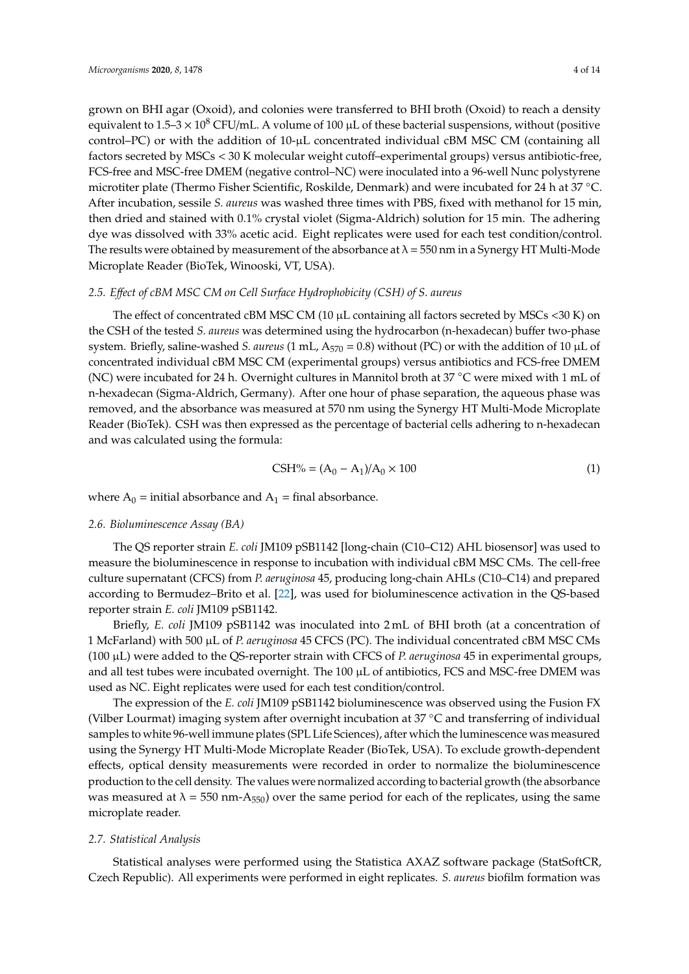grown on BHI agar (Oxoid), and colonies were transferred to BHI broth (Oxoid) to reach a density equivalent to  $1.5-3 \times 10^8$  CFU/mL. A volume of 100  $\mu$ L of these bacterial suspensions, without (positive control–PC) or with the addition of  $10-\mu L$  concentrated individual cBM MSC CM (containing all factors secreted by MSCs < 30 K molecular weight cutoff–experimental groups) versus antibiotic-free, FCS-free and MSC-free DMEM (negative control–NC) were inoculated into a 96-well Nunc polystyrene microtiter plate (Thermo Fisher Scientific, Roskilde, Denmark) and were incubated for 24 h at 37 ◦C. After incubation, sessile *S. aureus* was washed three times with PBS, fixed with methanol for 15 min, then dried and stained with 0.1% crystal violet (Sigma-Aldrich) solution for 15 min. The adhering dye was dissolved with 33% acetic acid. Eight replicates were used for each test condition/control. The results were obtained by measurement of the absorbance at  $\lambda = 550$  nm in a Synergy HT Multi-Mode Microplate Reader (BioTek, Winooski, VT, USA).

# *2.5. E*ff*ect of cBM MSC CM on Cell Surface Hydrophobicity (CSH) of S. aureus*

The effect of concentrated cBM MSC CM (10 µL containing all factors secreted by MSCs <30 K) on the CSH of the tested *S. aureus* was determined using the hydrocarbon (n-hexadecan) buffer two-phase system. Briefly, saline-washed *S. aureus* (1 mL,  $A_{570} = 0.8$ ) without (PC) or with the addition of 10 µL of concentrated individual cBM MSC CM (experimental groups) versus antibiotics and FCS-free DMEM (NC) were incubated for 24 h. Overnight cultures in Mannitol broth at 37 ◦C were mixed with 1 mL of n-hexadecan (Sigma-Aldrich, Germany). After one hour of phase separation, the aqueous phase was removed, and the absorbance was measured at 570 nm using the Synergy HT Multi-Mode Microplate Reader (BioTek). CSH was then expressed as the percentage of bacterial cells adhering to n-hexadecan and was calculated using the formula:

$$
CSH\% = (A_0 - A_1)/A_0 \times 100
$$
 (1)

where  $A_0$  = initial absorbance and  $A_1$  = final absorbance.

#### *2.6. Bioluminescence Assay (BA)*

The QS reporter strain *E. coli* JM109 pSB1142 [long-chain (C10–C12) AHL biosensor] was used to measure the bioluminescence in response to incubation with individual cBM MSC CMs. The cell-free culture supernatant (CFCS) from *P. aeruginosa* 45, producing long-chain AHLs (C10–C14) and prepared according to Bermudez–Brito et al. [\[22\]](#page-11-12), was used for bioluminescence activation in the QS-based reporter strain *E. coli* JM109 pSB1142.

Briefly, *E. coli* JM109 pSB1142 was inoculated into 2 mL of BHI broth (at a concentration of 1 McFarland) with 500 µL of *P. aeruginosa* 45 CFCS (PC). The individual concentrated cBM MSC CMs (100 µL) were added to the QS-reporter strain with CFCS of *P. aeruginosa* 45 in experimental groups, and all test tubes were incubated overnight. The  $100 \mu L$  of antibiotics, FCS and MSC-free DMEM was used as NC. Eight replicates were used for each test condition/control.

The expression of the *E. coli* JM109 pSB1142 bioluminescence was observed using the Fusion FX (Vilber Lourmat) imaging system after overnight incubation at 37 ◦C and transferring of individual samples to white 96-well immune plates (SPL Life Sciences), after which the luminescence was measured using the Synergy HT Multi-Mode Microplate Reader (BioTek, USA). To exclude growth-dependent effects, optical density measurements were recorded in order to normalize the bioluminescence production to the cell density. The values were normalized according to bacterial growth (the absorbance was measured at  $\lambda = 550$  nm-A<sub>550</sub>) over the same period for each of the replicates, using the same microplate reader.

# *2.7. Statistical Analysis*

Statistical analyses were performed using the Statistica AXAZ software package (StatSoftCR, Czech Republic). All experiments were performed in eight replicates. *S. aureus* biofilm formation was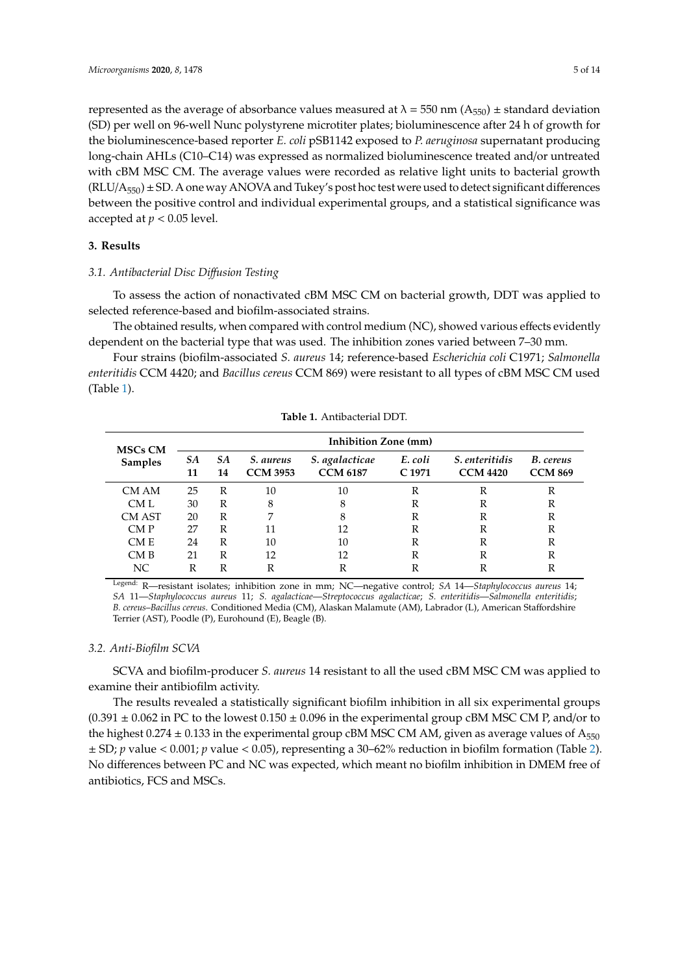represented as the average of absorbance values measured at  $\lambda = 550$  nm (A<sub>550</sub>)  $\pm$  standard deviation (SD) per well on 96-well Nunc polystyrene microtiter plates; bioluminescence after 24 h of growth for the bioluminescence-based reporter *E. coli* pSB1142 exposed to *P. aeruginosa* supernatant producing long-chain AHLs (C10–C14) was expressed as normalized bioluminescence treated and/or untreated with cBM MSC CM. The average values were recorded as relative light units to bacterial growth  $(RLU/A_{550})\pm SD$ . A one way ANOVA and Tukey's post hoc test were used to detect significant differences between the positive control and individual experimental groups, and a statistical significance was accepted at  $p < 0.05$  level.

# **3. Results**

#### *3.1. Antibacterial Disc Di*ff*usion Testing*

To assess the action of nonactivated cBM MSC CM on bacterial growth, DDT was applied to selected reference-based and biofilm-associated strains.

The obtained results, when compared with control medium (NC), showed various effects evidently dependent on the bacterial type that was used. The inhibition zones varied between 7–30 mm.

Four strains (biofilm-associated *S. aureus* 14; reference-based *Escherichia coli* C1971; *Salmonella enteritidis* CCM 4420; and *Bacillus cereus* CCM 869) were resistant to all types of cBM MSC CM used (Table [1\)](#page-4-0).

**Table 1.** Antibacterial DDT.

<span id="page-4-0"></span>

| <b>MSCs CM</b><br><b>Samples</b> | Inhibition Zone (mm) |          |                              |                                   |                   |                                          |                             |
|----------------------------------|----------------------|----------|------------------------------|-----------------------------------|-------------------|------------------------------------------|-----------------------------|
|                                  | SА<br>11             | SА<br>14 | S. aureus<br><b>CCM 3953</b> | S. agalacticae<br><b>CCM 6187</b> | E. coli<br>C 1971 | <i>S. enteritidis</i><br><b>CCM 4420</b> | B. cereus<br><b>CCM 869</b> |
| CM AM                            | 25                   | R        | 10                           | 10                                | R                 | R                                        | R                           |
| CML                              | 30                   | R        | 8                            | 8                                 | R                 | R                                        | R                           |
| <b>CM AST</b>                    | 20                   | R        | 7                            | 8                                 | R                 | R                                        | R                           |
| CM P                             | 27                   | R        | 11                           | 12                                | R                 | R                                        | R                           |
| CM E                             | 24                   | R        | 10                           | 10                                | R                 | R                                        | R                           |
| CMB                              | 21                   | R        | 12                           | 12                                | R                 | R                                        | R                           |
| NC                               | R                    | R        | R                            | R                                 | R                 |                                          | R                           |

Legend: R—resistant isolates; inhibition zone in mm; NC—negative control; *SA* 14—*Staphylococcus aureus* 14; *SA* 11—*Staphylococcus aureus* 11; *S. agalacticae*—*Streptococcus agalacticae*; *S. enteritidis*—*Salmonella enteritidis*; *B. cereus*–*Bacillus cereus*. Conditioned Media (CM), Alaskan Malamute (AM), Labrador (L), American Staffordshire Terrier (AST), Poodle (P), Eurohound (E), Beagle (B).

#### *3.2. Anti-Biofilm SCVA*

SCVA and biofilm-producer *S. aureus* 14 resistant to all the used cBM MSC CM was applied to examine their antibiofilm activity.

The results revealed a statistically significant biofilm inhibition in all six experimental groups  $(0.391 \pm 0.062$  in PC to the lowest  $0.150 \pm 0.096$  in the experimental group cBM MSC CM P, and/or to the highest  $0.274 \pm 0.133$  in the experimental group cBM MSC CM AM, given as average values of A<sub>550</sub> ± SD; *p* value < 0.001; *p* value < 0.05), representing a 30–62% reduction in biofilm formation (Table [2\)](#page-5-0). No differences between PC and NC was expected, which meant no biofilm inhibition in DMEM free of antibiotics, FCS and MSCs.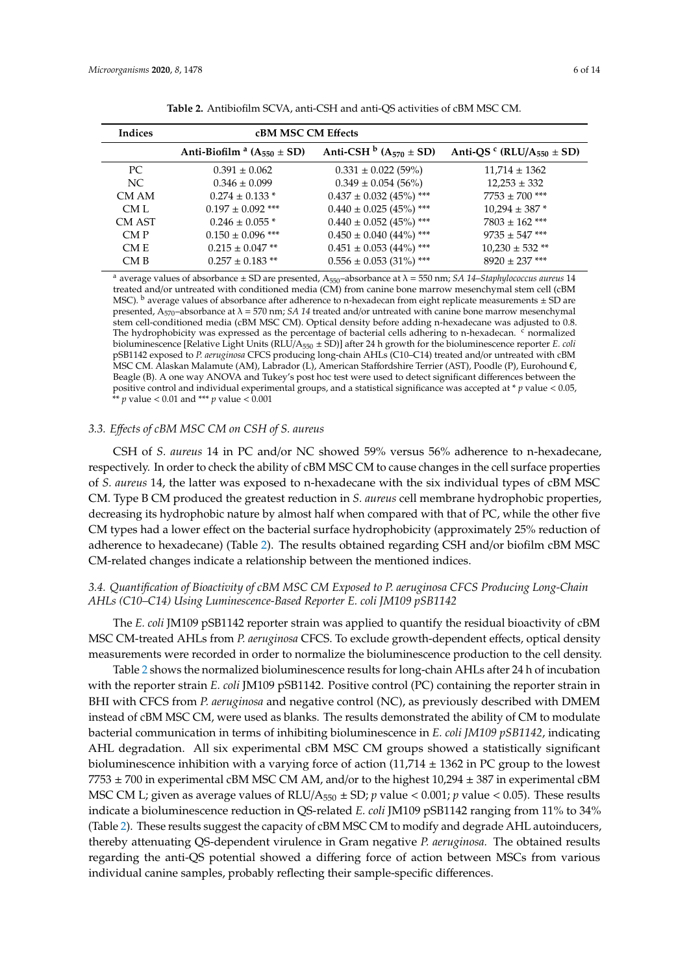<span id="page-5-0"></span>

| <b>Indices</b> | <b>cBM MSC CM Effects</b>                         |                                          |                                             |  |  |  |  |
|----------------|---------------------------------------------------|------------------------------------------|---------------------------------------------|--|--|--|--|
|                | Anti-Biofilm $\alpha$ (A <sub>550</sub> $\pm$ SD) | Anti-CSH $b$ (A <sub>570</sub> $\pm$ SD) | Anti-QS $c$ (RLU/A <sub>550</sub> $\pm$ SD) |  |  |  |  |
| PC.            | $0.391 \pm 0.062$                                 | $0.331 \pm 0.022$ (59%)                  | $11,714 \pm 1362$                           |  |  |  |  |
| NC.            | $0.346 \pm 0.099$                                 | $0.349 \pm 0.054$ (56%)                  | $12,253 \pm 332$                            |  |  |  |  |
| CM AM          | $0.274 \pm 0.133$ *                               | $0.437 \pm 0.032$ (45%) ***              | $7753 \pm 700$ ***                          |  |  |  |  |
| CML            | $0.197 \pm 0.092$ ***                             | $0.440 \pm 0.025$ (45%) ***              | $10,294 \pm 387$ *                          |  |  |  |  |
| CM AST         | $0.246 \pm 0.055$ *                               | $0.440 \pm 0.052$ (45%) ***              | $7803 \pm 162$ ***                          |  |  |  |  |
| CMP            | $0.150 \pm 0.096$ ***                             | $0.450 \pm 0.040$ (44%) ***              | $9735 \pm 547$ ***                          |  |  |  |  |
| CM E           | $0.215 \pm 0.047$ **                              | $0.451 \pm 0.053$ (44%) ***              | $10,230 \pm 532$ **                         |  |  |  |  |
| CM B           | $0.257 \pm 0.183$ **                              | $0.556 \pm 0.053$ (31%) ***              | $8920 \pm 237$ ***                          |  |  |  |  |
|                |                                                   |                                          |                                             |  |  |  |  |

**Table 2.** Antibiofilm SCVA, anti-CSH and anti-QS activities of cBM MSC CM.

<sup>a</sup> average values of absorbance ± SD are presented, A550–absorbance at λ = 550 nm; *SA 14*–*Staphylococcus aureus* 14 treated and/or untreated with conditioned media (CM) from canine bone marrow mesenchymal stem cell (cBM MSC).  $\frac{b}{c}$  average values of absorbance after adherence to n-hexadecan from eight replicate measurements  $\pm$  SD are presented,  $A_{570}$ –absorbance at  $\lambda = 570$  nm; *SA 14* treated and/or untreated with canine bone marrow mesenchymal stem cell-conditioned media (cBM MSC CM). Optical density before adding n-hexadecane was adjusted to 0.8. The hydrophobicity was expressed as the percentage of bacterial cells adhering to n-hexadecan.  $\epsilon$  normalized bioluminescence [Relative Light Units (RLU/A<sup>550</sup> ± SD)] after 24 h growth for the bioluminescence reporter *E. coli* pSB1142 exposed to *P. aeruginosa* CFCS producing long-chain AHLs (C10–C14) treated and/or untreated with cBM MSC CM. Alaskan Malamute (AM), Labrador (L), American Staffordshire Terrier (AST), Poodle (P), Eurohound €, Beagle (B). A one way ANOVA and Tukey's post hoc test were used to detect significant differences between the positive control and individual experimental groups, and a statistical significance was accepted at \* *p* value < 0.05, \*\* *p* value < 0.01 and \*\*\* *p* value < 0.001

# *3.3. E*ff*ects of cBM MSC CM on CSH of S. aureus*

CSH of *S. aureus* 14 in PC and/or NC showed 59% versus 56% adherence to n-hexadecane, respectively. In order to check the ability of cBM MSC CM to cause changes in the cell surface properties of *S. aureus* 14, the latter was exposed to n-hexadecane with the six individual types of cBM MSC CM. Type B CM produced the greatest reduction in *S. aureus* cell membrane hydrophobic properties, decreasing its hydrophobic nature by almost half when compared with that of PC, while the other five CM types had a lower effect on the bacterial surface hydrophobicity (approximately 25% reduction of adherence to hexadecane) (Table [2\)](#page-5-0). The results obtained regarding CSH and/or biofilm cBM MSC CM-related changes indicate a relationship between the mentioned indices.

# *3.4. Quantification of Bioactivity of cBM MSC CM Exposed to P. aeruginosa CFCS Producing Long-Chain AHLs (C10–C14) Using Luminescence-Based Reporter E. coli JM109 pSB1142*

The *E. coli* JM109 pSB1142 reporter strain was applied to quantify the residual bioactivity of cBM MSC CM-treated AHLs from *P. aeruginosa* CFCS. To exclude growth-dependent effects, optical density measurements were recorded in order to normalize the bioluminescence production to the cell density.

Table [2](#page-5-0) shows the normalized bioluminescence results for long-chain AHLs after 24 h of incubation with the reporter strain *E. coli* JM109 pSB1142. Positive control (PC) containing the reporter strain in BHI with CFCS from *P. aeruginosa* and negative control (NC), as previously described with DMEM instead of cBM MSC CM, were used as blanks. The results demonstrated the ability of CM to modulate bacterial communication in terms of inhibiting bioluminescence in *E. coli JM109 pSB1142*, indicating AHL degradation. All six experimental cBM MSC CM groups showed a statistically significant bioluminescence inhibition with a varying force of action  $(11,714 \pm 1362)$  in PC group to the lowest  $7753 \pm 700$  in experimental cBM MSC CM AM, and/or to the highest  $10,294 \pm 387$  in experimental cBM MSC CM L; given as average values of RLU/A<sub>550</sub>  $\pm$  SD; *p* value < 0.001; *p* value < 0.05). These results indicate a bioluminescence reduction in QS-related *E. coli* JM109 pSB1142 ranging from 11% to 34% (Table [2\)](#page-5-0). These results suggest the capacity of cBM MSC CM to modify and degrade AHL autoinducers, thereby attenuating QS-dependent virulence in Gram negative *P. aeruginosa.* The obtained results regarding the anti-QS potential showed a differing force of action between MSCs from various individual canine samples, probably reflecting their sample-specific differences.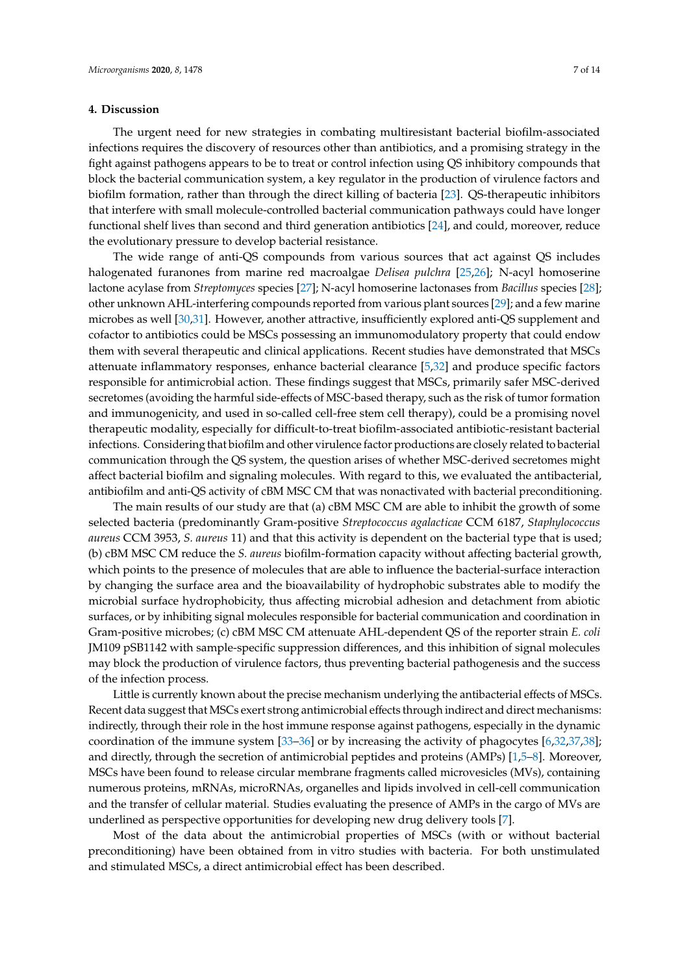#### **4. Discussion**

The urgent need for new strategies in combating multiresistant bacterial biofilm-associated infections requires the discovery of resources other than antibiotics, and a promising strategy in the fight against pathogens appears to be to treat or control infection using QS inhibitory compounds that block the bacterial communication system, a key regulator in the production of virulence factors and biofilm formation, rather than through the direct killing of bacteria [\[23\]](#page-11-13). QS-therapeutic inhibitors that interfere with small molecule-controlled bacterial communication pathways could have longer functional shelf lives than second and third generation antibiotics [\[24\]](#page-11-14), and could, moreover, reduce the evolutionary pressure to develop bacterial resistance.

The wide range of anti-QS compounds from various sources that act against QS includes halogenated furanones from marine red macroalgae *Delisea pulchra* [\[25](#page-11-15)[,26\]](#page-11-16); N-acyl homoserine lactone acylase from *Streptomyces* species [\[27\]](#page-11-17); N-acyl homoserine lactonases from *Bacillus* species [\[28\]](#page-11-18); other unknown AHL-interfering compounds reported from various plant sources [\[29\]](#page-12-0); and a few marine microbes as well [\[30,](#page-12-1)[31\]](#page-12-2). However, another attractive, insufficiently explored anti-QS supplement and cofactor to antibiotics could be MSCs possessing an immunomodulatory property that could endow them with several therapeutic and clinical applications. Recent studies have demonstrated that MSCs attenuate inflammatory responses, enhance bacterial clearance [\[5](#page-10-4)[,32\]](#page-12-3) and produce specific factors responsible for antimicrobial action. These findings suggest that MSCs, primarily safer MSC-derived secretomes (avoiding the harmful side-effects of MSC-based therapy, such as the risk of tumor formation and immunogenicity, and used in so-called cell-free stem cell therapy), could be a promising novel therapeutic modality, especially for difficult-to-treat biofilm-associated antibiotic-resistant bacterial infections. Considering that biofilm and other virulence factor productions are closely related to bacterial communication through the QS system, the question arises of whether MSC-derived secretomes might affect bacterial biofilm and signaling molecules. With regard to this, we evaluated the antibacterial, antibiofilm and anti-QS activity of cBM MSC CM that was nonactivated with bacterial preconditioning.

The main results of our study are that (a) cBM MSC CM are able to inhibit the growth of some selected bacteria (predominantly Gram-positive *Streptococcus agalacticae* CCM 6187, *Staphylococcus aureus* CCM 3953, *S. aureus* 11) and that this activity is dependent on the bacterial type that is used; (b) cBM MSC CM reduce the *S. aureus* biofilm-formation capacity without affecting bacterial growth, which points to the presence of molecules that are able to influence the bacterial-surface interaction by changing the surface area and the bioavailability of hydrophobic substrates able to modify the microbial surface hydrophobicity, thus affecting microbial adhesion and detachment from abiotic surfaces, or by inhibiting signal molecules responsible for bacterial communication and coordination in Gram-positive microbes; (c) cBM MSC CM attenuate AHL-dependent QS of the reporter strain *E. coli* JM109 pSB1142 with sample-specific suppression differences, and this inhibition of signal molecules may block the production of virulence factors, thus preventing bacterial pathogenesis and the success of the infection process.

Little is currently known about the precise mechanism underlying the antibacterial effects of MSCs. Recent data suggest that MSCs exert strong antimicrobial effects through indirect and direct mechanisms: indirectly, through their role in the host immune response against pathogens, especially in the dynamic coordination of the immune system [\[33](#page-12-4)[–36\]](#page-12-5) or by increasing the activity of phagocytes [\[6,](#page-10-7)[32,](#page-12-3)[37,](#page-12-6)[38\]](#page-12-7); and directly, through the secretion of antimicrobial peptides and proteins (AMPs) [\[1](#page-10-0)[,5](#page-10-4)[–8\]](#page-10-5). Moreover, MSCs have been found to release circular membrane fragments called microvesicles (MVs), containing numerous proteins, mRNAs, microRNAs, organelles and lipids involved in cell-cell communication and the transfer of cellular material. Studies evaluating the presence of AMPs in the cargo of MVs are underlined as perspective opportunities for developing new drug delivery tools [\[7\]](#page-10-8).

Most of the data about the antimicrobial properties of MSCs (with or without bacterial preconditioning) have been obtained from in vitro studies with bacteria. For both unstimulated and stimulated MSCs, a direct antimicrobial effect has been described.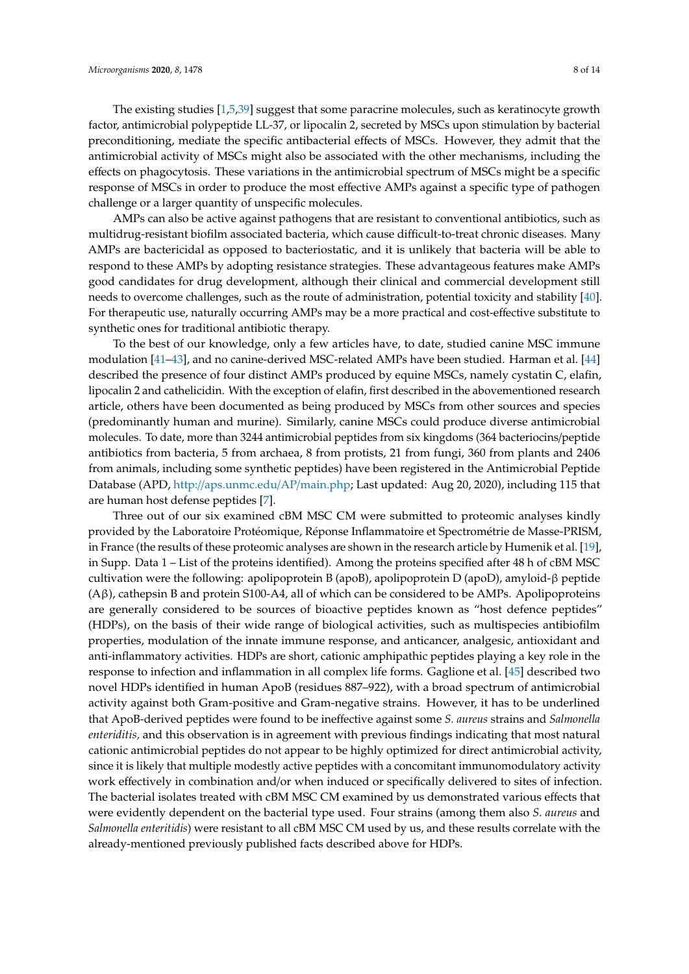The existing studies [\[1](#page-10-0)[,5,](#page-10-4)[39\]](#page-12-8) suggest that some paracrine molecules, such as keratinocyte growth factor, antimicrobial polypeptide LL-37, or lipocalin 2, secreted by MSCs upon stimulation by bacterial preconditioning, mediate the specific antibacterial effects of MSCs. However, they admit that the antimicrobial activity of MSCs might also be associated with the other mechanisms, including the effects on phagocytosis. These variations in the antimicrobial spectrum of MSCs might be a specific response of MSCs in order to produce the most effective AMPs against a specific type of pathogen challenge or a larger quantity of unspecific molecules.

AMPs can also be active against pathogens that are resistant to conventional antibiotics, such as multidrug-resistant biofilm associated bacteria, which cause difficult-to-treat chronic diseases. Many AMPs are bactericidal as opposed to bacteriostatic, and it is unlikely that bacteria will be able to respond to these AMPs by adopting resistance strategies. These advantageous features make AMPs good candidates for drug development, although their clinical and commercial development still needs to overcome challenges, such as the route of administration, potential toxicity and stability [\[40\]](#page-12-9). For therapeutic use, naturally occurring AMPs may be a more practical and cost-effective substitute to synthetic ones for traditional antibiotic therapy.

To the best of our knowledge, only a few articles have, to date, studied canine MSC immune modulation [\[41](#page-12-10)[–43\]](#page-12-11), and no canine-derived MSC-related AMPs have been studied. Harman et al. [\[44\]](#page-12-12) described the presence of four distinct AMPs produced by equine MSCs, namely cystatin C, elafin, lipocalin 2 and cathelicidin. With the exception of elafin, first described in the abovementioned research article, others have been documented as being produced by MSCs from other sources and species (predominantly human and murine). Similarly, canine MSCs could produce diverse antimicrobial molecules. To date, more than 3244 antimicrobial peptides from six kingdoms (364 bacteriocins/peptide antibiotics from bacteria, 5 from archaea, 8 from protists, 21 from fungi, 360 from plants and 2406 from animals, including some synthetic peptides) have been registered in the Antimicrobial Peptide Database (APD, http://[aps.unmc.edu](http://aps.unmc.edu/AP/main.php)/AP/main.php; Last updated: Aug 20, 2020), including 115 that are human host defense peptides [\[7\]](#page-10-8).

Three out of our six examined cBM MSC CM were submitted to proteomic analyses kindly provided by the Laboratoire Protéomique, Réponse Inflammatoire et Spectrométrie de Masse-PRISM, in France (the results of these proteomic analyses are shown in the research article by Humenik et al. [\[19\]](#page-11-9), in Supp. Data 1 – List of the proteins identified). Among the proteins specified after 48 h of cBM MSC cultivation were the following: apolipoprotein B (apoB), apolipoprotein D (apoD), amyloid-β peptide (Aβ), cathepsin B and protein S100-A4, all of which can be considered to be AMPs. Apolipoproteins are generally considered to be sources of bioactive peptides known as "host defence peptides" (HDPs), on the basis of their wide range of biological activities, such as multispecies antibiofilm properties, modulation of the innate immune response, and anticancer, analgesic, antioxidant and anti-inflammatory activities. HDPs are short, cationic amphipathic peptides playing a key role in the response to infection and inflammation in all complex life forms. Gaglione et al. [\[45\]](#page-12-13) described two novel HDPs identified in human ApoB (residues 887–922), with a broad spectrum of antimicrobial activity against both Gram-positive and Gram-negative strains. However, it has to be underlined that ApoB-derived peptides were found to be ineffective against some *S. aureus* strains and *Salmonella enteriditis,* and this observation is in agreement with previous findings indicating that most natural cationic antimicrobial peptides do not appear to be highly optimized for direct antimicrobial activity, since it is likely that multiple modestly active peptides with a concomitant immunomodulatory activity work effectively in combination and/or when induced or specifically delivered to sites of infection. The bacterial isolates treated with cBM MSC CM examined by us demonstrated various effects that were evidently dependent on the bacterial type used. Four strains (among them also *S. aureus* and *Salmonella enteritidis*) were resistant to all cBM MSC CM used by us, and these results correlate with the already-mentioned previously published facts described above for HDPs.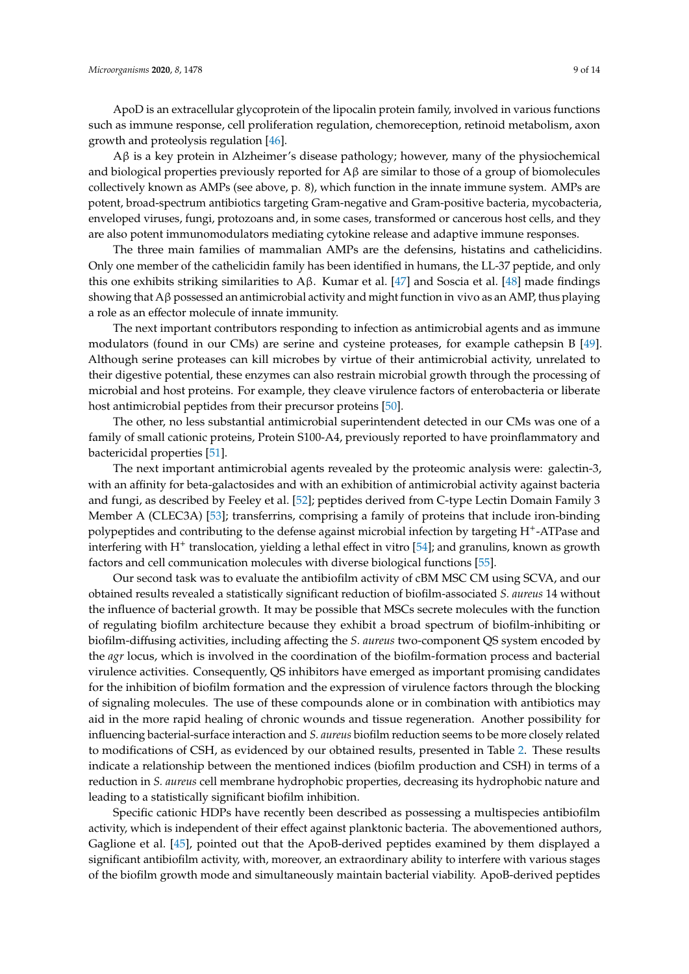ApoD is an extracellular glycoprotein of the lipocalin protein family, involved in various functions such as immune response, cell proliferation regulation, chemoreception, retinoid metabolism, axon growth and proteolysis regulation [\[46\]](#page-12-14).

 $Aβ$  is a key protein in Alzheimer's disease pathology; however, many of the physiochemical and biological properties previously reported for  $A\beta$  are similar to those of a group of biomolecules collectively known as AMPs (see above, p. 8), which function in the innate immune system. AMPs are potent, broad-spectrum antibiotics targeting Gram-negative and Gram-positive bacteria, mycobacteria, enveloped viruses, fungi, protozoans and, in some cases, transformed or cancerous host cells, and they are also potent immunomodulators mediating cytokine release and adaptive immune responses.

The three main families of mammalian AMPs are the defensins, histatins and cathelicidins. Only one member of the cathelicidin family has been identified in humans, the LL-37 peptide, and only this one exhibits striking similarities to Aβ. Kumar et al. [\[47\]](#page-13-0) and Soscia et al. [\[48\]](#page-13-1) made findings showing that  $A\beta$  possessed an antimicrobial activity and might function in vivo as an AMP, thus playing a role as an effector molecule of innate immunity.

The next important contributors responding to infection as antimicrobial agents and as immune modulators (found in our CMs) are serine and cysteine proteases, for example cathepsin B [\[49\]](#page-13-2). Although serine proteases can kill microbes by virtue of their antimicrobial activity, unrelated to their digestive potential, these enzymes can also restrain microbial growth through the processing of microbial and host proteins. For example, they cleave virulence factors of enterobacteria or liberate host antimicrobial peptides from their precursor proteins [\[50\]](#page-13-3).

The other, no less substantial antimicrobial superintendent detected in our CMs was one of a family of small cationic proteins, Protein S100-A4, previously reported to have proinflammatory and bactericidal properties [\[51\]](#page-13-4).

The next important antimicrobial agents revealed by the proteomic analysis were: galectin-3, with an affinity for beta-galactosides and with an exhibition of antimicrobial activity against bacteria and fungi, as described by Feeley et al. [\[52\]](#page-13-5); peptides derived from C-type Lectin Domain Family 3 Member A (CLEC3A) [\[53\]](#page-13-6); transferrins, comprising a family of proteins that include iron-binding polypeptides and contributing to the defense against microbial infection by targeting H+-ATPase and interfering with  $H^+$  translocation, yielding a lethal effect in vitro [\[54\]](#page-13-7); and granulins, known as growth factors and cell communication molecules with diverse biological functions [\[55\]](#page-13-8).

Our second task was to evaluate the antibiofilm activity of cBM MSC CM using SCVA, and our obtained results revealed a statistically significant reduction of biofilm-associated *S. aureus* 14 without the influence of bacterial growth. It may be possible that MSCs secrete molecules with the function of regulating biofilm architecture because they exhibit a broad spectrum of biofilm-inhibiting or biofilm-diffusing activities, including affecting the *S. aureus* two-component QS system encoded by the *agr* locus, which is involved in the coordination of the biofilm-formation process and bacterial virulence activities. Consequently, QS inhibitors have emerged as important promising candidates for the inhibition of biofilm formation and the expression of virulence factors through the blocking of signaling molecules. The use of these compounds alone or in combination with antibiotics may aid in the more rapid healing of chronic wounds and tissue regeneration. Another possibility for influencing bacterial-surface interaction and *S. aureus* biofilm reduction seems to be more closely related to modifications of CSH, as evidenced by our obtained results, presented in Table [2.](#page-5-0) These results indicate a relationship between the mentioned indices (biofilm production and CSH) in terms of a reduction in *S. aureus* cell membrane hydrophobic properties, decreasing its hydrophobic nature and leading to a statistically significant biofilm inhibition.

Specific cationic HDPs have recently been described as possessing a multispecies antibiofilm activity, which is independent of their effect against planktonic bacteria. The abovementioned authors, Gaglione et al. [\[45\]](#page-12-13), pointed out that the ApoB-derived peptides examined by them displayed a significant antibiofilm activity, with, moreover, an extraordinary ability to interfere with various stages of the biofilm growth mode and simultaneously maintain bacterial viability. ApoB-derived peptides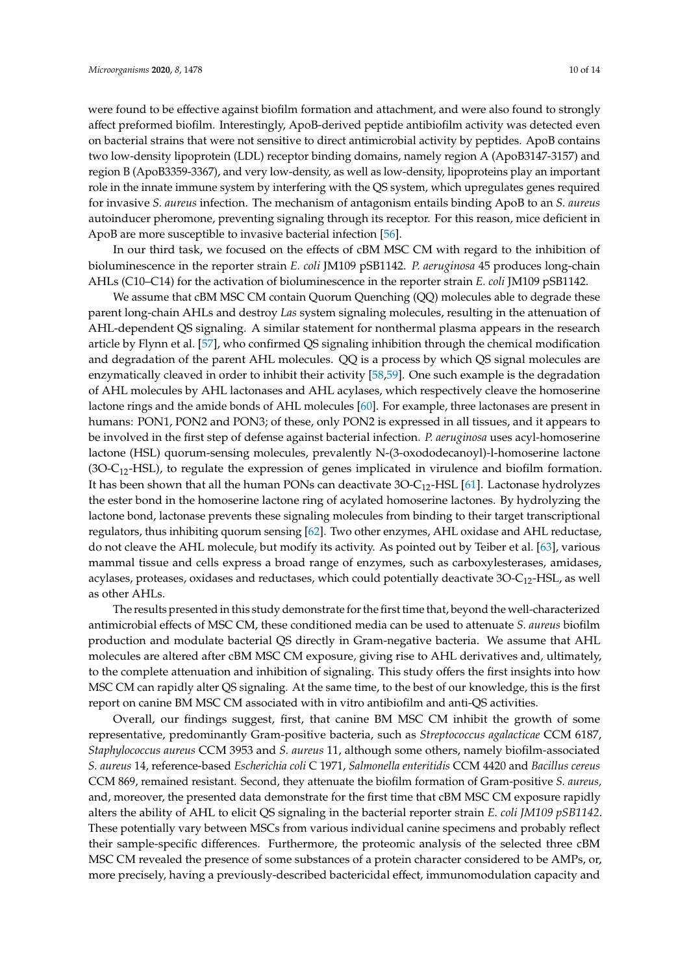were found to be effective against biofilm formation and attachment, and were also found to strongly affect preformed biofilm. Interestingly, ApoB-derived peptide antibiofilm activity was detected even on bacterial strains that were not sensitive to direct antimicrobial activity by peptides. ApoB contains two low-density lipoprotein (LDL) receptor binding domains, namely region A (ApoB3147-3157) and region B (ApoB3359-3367), and very low-density, as well as low-density, lipoproteins play an important role in the innate immune system by interfering with the QS system, which upregulates genes required for invasive *S. aureus* infection. The mechanism of antagonism entails binding ApoB to an *S. aureus* autoinducer pheromone, preventing signaling through its receptor. For this reason, mice deficient in

In our third task, we focused on the effects of cBM MSC CM with regard to the inhibition of bioluminescence in the reporter strain *E. coli* JM109 pSB1142. *P. aeruginosa* 45 produces long-chain AHLs (C10–C14) for the activation of bioluminescence in the reporter strain *E. coli* JM109 pSB1142.

ApoB are more susceptible to invasive bacterial infection [\[56\]](#page-13-9).

We assume that cBM MSC CM contain Quorum Quenching (QQ) molecules able to degrade these parent long-chain AHLs and destroy *Las* system signaling molecules, resulting in the attenuation of AHL-dependent QS signaling. A similar statement for nonthermal plasma appears in the research article by Flynn et al. [\[57\]](#page-13-10), who confirmed QS signaling inhibition through the chemical modification and degradation of the parent AHL molecules. QQ is a process by which QS signal molecules are enzymatically cleaved in order to inhibit their activity [\[58,](#page-13-11)[59\]](#page-13-12). One such example is the degradation of AHL molecules by AHL lactonases and AHL acylases, which respectively cleave the homoserine lactone rings and the amide bonds of AHL molecules [\[60\]](#page-13-13). For example, three lactonases are present in humans: PON1, PON2 and PON3; of these, only PON2 is expressed in all tissues, and it appears to be involved in the first step of defense against bacterial infection. *P. aeruginosa* uses acyl-homoserine lactone (HSL) quorum-sensing molecules, prevalently N-(3-oxododecanoyl)-l-homoserine lactone  $(3O-C<sub>12</sub>-HSL)$ , to regulate the expression of genes implicated in virulence and biofilm formation. It has been shown that all the human PONs can deactivate  $3O-C_{12}$ -HSL [\[61\]](#page-13-14). Lactonase hydrolyzes the ester bond in the homoserine lactone ring of acylated homoserine lactones. By hydrolyzing the lactone bond, lactonase prevents these signaling molecules from binding to their target transcriptional regulators, thus inhibiting quorum sensing [\[62\]](#page-13-15). Two other enzymes, AHL oxidase and AHL reductase, do not cleave the AHL molecule, but modify its activity. As pointed out by Teiber et al. [\[63\]](#page-13-16), various mammal tissue and cells express a broad range of enzymes, such as carboxylesterases, amidases, acylases, proteases, oxidases and reductases, which could potentially deactivate 3O-C<sub>12</sub>-HSL, as well as other AHLs.

The results presented in this study demonstrate for the first time that, beyond the well-characterized antimicrobial effects of MSC CM, these conditioned media can be used to attenuate *S. aureus* biofilm production and modulate bacterial QS directly in Gram-negative bacteria. We assume that AHL molecules are altered after cBM MSC CM exposure, giving rise to AHL derivatives and, ultimately, to the complete attenuation and inhibition of signaling. This study offers the first insights into how MSC CM can rapidly alter QS signaling. At the same time, to the best of our knowledge, this is the first report on canine BM MSC CM associated with in vitro antibiofilm and anti-QS activities.

Overall, our findings suggest, first, that canine BM MSC CM inhibit the growth of some representative, predominantly Gram-positive bacteria, such as *Streptococcus agalacticae* CCM 6187, *Staphylococcus aureus* CCM 3953 and *S. aureus* 11, although some others, namely biofilm-associated *S. aureus* 14, reference-based *Escherichia coli* C 1971, *Salmonella enteritidis* CCM 4420 and *Bacillus cereus* CCM 869, remained resistant. Second, they attenuate the biofilm formation of Gram-positive *S. aureus,* and, moreover, the presented data demonstrate for the first time that cBM MSC CM exposure rapidly alters the ability of AHL to elicit QS signaling in the bacterial reporter strain *E. coli JM109 pSB1142*. These potentially vary between MSCs from various individual canine specimens and probably reflect their sample-specific differences. Furthermore, the proteomic analysis of the selected three cBM MSC CM revealed the presence of some substances of a protein character considered to be AMPs, or, more precisely, having a previously-described bactericidal effect, immunomodulation capacity and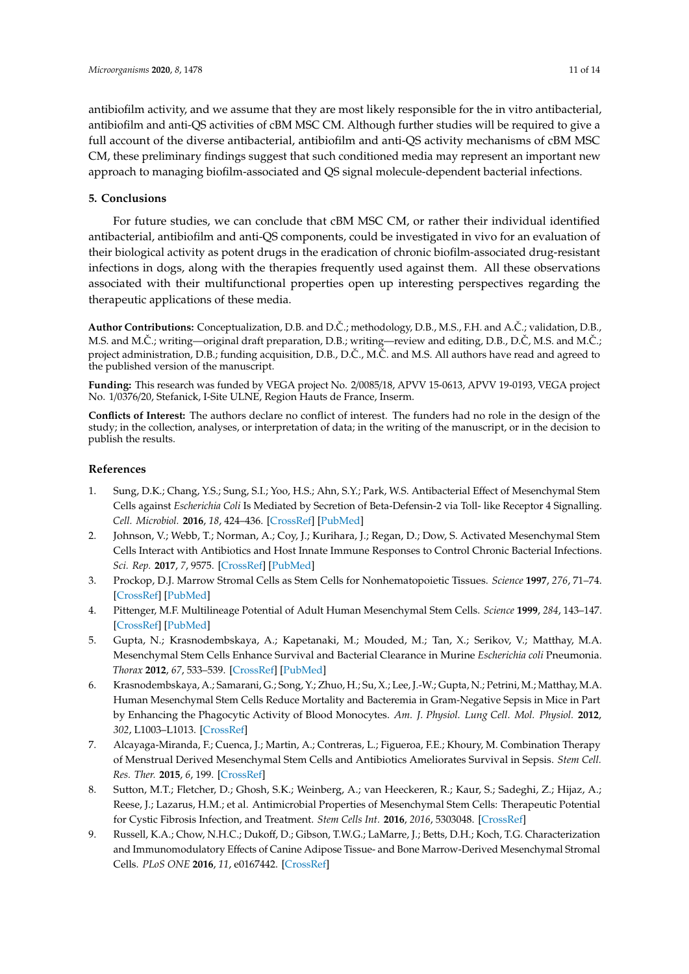antibiofilm activity, and we assume that they are most likely responsible for the in vitro antibacterial, antibiofilm and anti-QS activities of cBM MSC CM. Although further studies will be required to give a full account of the diverse antibacterial, antibiofilm and anti-QS activity mechanisms of cBM MSC CM, these preliminary findings suggest that such conditioned media may represent an important new approach to managing biofilm-associated and QS signal molecule-dependent bacterial infections.

# **5. Conclusions**

For future studies, we can conclude that cBM MSC CM, or rather their individual identified antibacterial, antibiofilm and anti-QS components, could be investigated in vivo for an evaluation of their biological activity as potent drugs in the eradication of chronic biofilm-associated drug-resistant infections in dogs, along with the therapies frequently used against them. All these observations associated with their multifunctional properties open up interesting perspectives regarding the therapeutic applications of these media.

**Author Contributions:** Conceptualization, D.B. and D.Č.; methodology, D.B., M.S., F.H. and A.Č.; validation, D.B., M.S. and M.C.; writing—original draft preparation, D.B.; writing—review and editing, D.B., D.C, M.S. and M.C.; project administration, D.B.; funding acquisition, D.B., D.Č., M.Č. and M.S. All authors have read and agreed to the published version of the manuscript.

**Funding:** This research was funded by VEGA project No. 2/0085/18, APVV 15-0613, APVV 19-0193, VEGA project No. 1/0376/20, Stefanick, I-Site ULNE, Region Hauts de France, Inserm.

**Conflicts of Interest:** The authors declare no conflict of interest. The funders had no role in the design of the study; in the collection, analyses, or interpretation of data; in the writing of the manuscript, or in the decision to publish the results.

# **References**

- <span id="page-10-0"></span>1. Sung, D.K.; Chang, Y.S.; Sung, S.I.; Yoo, H.S.; Ahn, S.Y.; Park, W.S. Antibacterial Effect of Mesenchymal Stem Cells against *Escherichia Coli* Is Mediated by Secretion of Beta-Defensin-2 via Toll- like Receptor 4 Signalling. *Cell. Microbiol.* **2016**, *18*, 424–436. [\[CrossRef\]](http://dx.doi.org/10.1111/cmi.12522) [\[PubMed\]](http://www.ncbi.nlm.nih.gov/pubmed/26350435)
- <span id="page-10-1"></span>2. Johnson, V.; Webb, T.; Norman, A.; Coy, J.; Kurihara, J.; Regan, D.; Dow, S. Activated Mesenchymal Stem Cells Interact with Antibiotics and Host Innate Immune Responses to Control Chronic Bacterial Infections. *Sci. Rep.* **2017**, *7*, 9575. [\[CrossRef\]](http://dx.doi.org/10.1038/s41598-017-08311-4) [\[PubMed\]](http://www.ncbi.nlm.nih.gov/pubmed/28851894)
- <span id="page-10-2"></span>3. Prockop, D.J. Marrow Stromal Cells as Stem Cells for Nonhematopoietic Tissues. *Science* **1997**, *276*, 71–74. [\[CrossRef\]](http://dx.doi.org/10.1126/science.276.5309.71) [\[PubMed\]](http://www.ncbi.nlm.nih.gov/pubmed/9082988)
- <span id="page-10-3"></span>4. Pittenger, M.F. Multilineage Potential of Adult Human Mesenchymal Stem Cells. *Science* **1999**, *284*, 143–147. [\[CrossRef\]](http://dx.doi.org/10.1126/science.284.5411.143) [\[PubMed\]](http://www.ncbi.nlm.nih.gov/pubmed/10102814)
- <span id="page-10-4"></span>5. Gupta, N.; Krasnodembskaya, A.; Kapetanaki, M.; Mouded, M.; Tan, X.; Serikov, V.; Matthay, M.A. Mesenchymal Stem Cells Enhance Survival and Bacterial Clearance in Murine *Escherichia coli* Pneumonia. *Thorax* **2012**, *67*, 533–539. [\[CrossRef\]](http://dx.doi.org/10.1136/thoraxjnl-2011-201176) [\[PubMed\]](http://www.ncbi.nlm.nih.gov/pubmed/22250097)
- <span id="page-10-7"></span>6. Krasnodembskaya, A.; Samarani, G.; Song, Y.; Zhuo, H.; Su, X.; Lee, J.-W.; Gupta, N.; Petrini, M.; Matthay, M.A. Human Mesenchymal Stem Cells Reduce Mortality and Bacteremia in Gram-Negative Sepsis in Mice in Part by Enhancing the Phagocytic Activity of Blood Monocytes. *Am. J. Physiol. Lung Cell. Mol. Physiol.* **2012**, *302*, L1003–L1013. [\[CrossRef\]](http://dx.doi.org/10.1152/ajplung.00180.2011)
- <span id="page-10-8"></span>7. Alcayaga-Miranda, F.; Cuenca, J.; Martin, A.; Contreras, L.; Figueroa, F.E.; Khoury, M. Combination Therapy of Menstrual Derived Mesenchymal Stem Cells and Antibiotics Ameliorates Survival in Sepsis. *Stem Cell. Res. Ther.* **2015**, *6*, 199. [\[CrossRef\]](http://dx.doi.org/10.1186/s13287-015-0192-0)
- <span id="page-10-5"></span>8. Sutton, M.T.; Fletcher, D.; Ghosh, S.K.; Weinberg, A.; van Heeckeren, R.; Kaur, S.; Sadeghi, Z.; Hijaz, A.; Reese, J.; Lazarus, H.M.; et al. Antimicrobial Properties of Mesenchymal Stem Cells: Therapeutic Potential for Cystic Fibrosis Infection, and Treatment. *Stem Cells Int.* **2016**, *2016*, 5303048. [\[CrossRef\]](http://dx.doi.org/10.1155/2016/5303048)
- <span id="page-10-6"></span>9. Russell, K.A.; Chow, N.H.C.; Dukoff, D.; Gibson, T.W.G.; LaMarre, J.; Betts, D.H.; Koch, T.G. Characterization and Immunomodulatory Effects of Canine Adipose Tissue- and Bone Marrow-Derived Mesenchymal Stromal Cells. *PLoS ONE* **2016**, *11*, e0167442. [\[CrossRef\]](http://dx.doi.org/10.1371/journal.pone.0167442)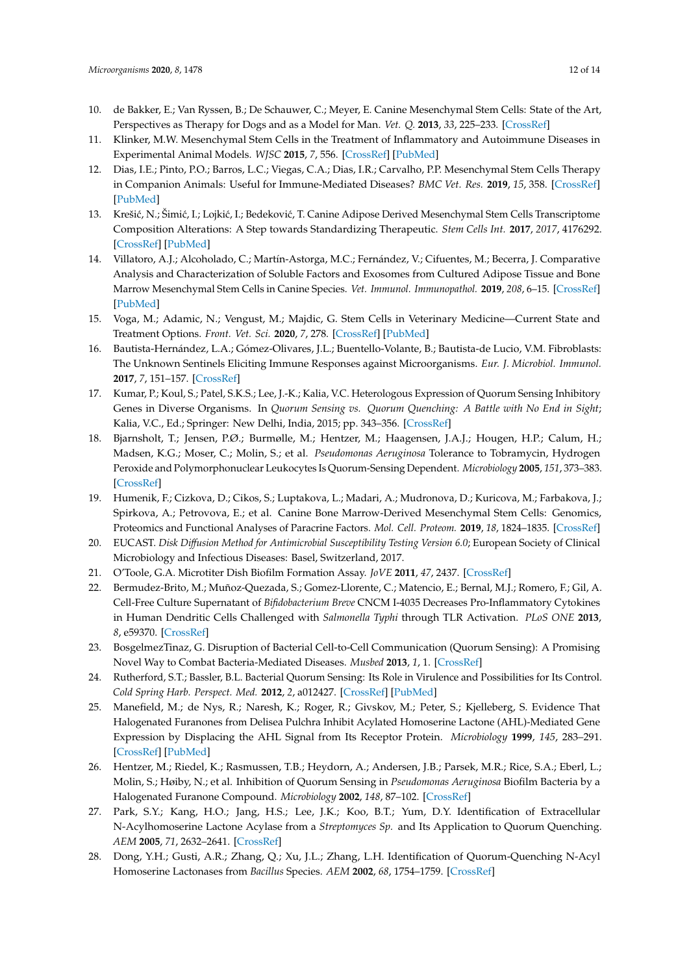- <span id="page-11-0"></span>10. de Bakker, E.; Van Ryssen, B.; De Schauwer, C.; Meyer, E. Canine Mesenchymal Stem Cells: State of the Art, Perspectives as Therapy for Dogs and as a Model for Man. *Vet. Q.* **2013**, *33*, 225–233. [\[CrossRef\]](http://dx.doi.org/10.1080/01652176.2013.873963)
- <span id="page-11-1"></span>11. Klinker, M.W. Mesenchymal Stem Cells in the Treatment of Inflammatory and Autoimmune Diseases in Experimental Animal Models. *WJSC* **2015**, *7*, 556. [\[CrossRef\]](http://dx.doi.org/10.4252/wjsc.v7.i3.556) [\[PubMed\]](http://www.ncbi.nlm.nih.gov/pubmed/25914763)
- <span id="page-11-2"></span>12. Dias, I.E.; Pinto, P.O.; Barros, L.C.; Viegas, C.A.; Dias, I.R.; Carvalho, P.P. Mesenchymal Stem Cells Therapy in Companion Animals: Useful for Immune-Mediated Diseases? *BMC Vet. Res.* **2019**, *15*, 358. [\[CrossRef\]](http://dx.doi.org/10.1186/s12917-019-2087-2) [\[PubMed\]](http://www.ncbi.nlm.nih.gov/pubmed/31640767)
- <span id="page-11-3"></span>13. Krešić, N.; Šimić, I.; Lojkić, I.; Bedeković, T. Canine Adipose Derived Mesenchymal Stem Cells Transcriptome Composition Alterations: A Step towards Standardizing Therapeutic. *Stem Cells Int.* **2017**, *2017*, 4176292. [\[CrossRef\]](http://dx.doi.org/10.1155/2017/4176292) [\[PubMed\]](http://www.ncbi.nlm.nih.gov/pubmed/28246532)
- <span id="page-11-4"></span>14. Villatoro, A.J.; Alcoholado, C.; Martín-Astorga, M.C.; Fernández, V.; Cifuentes, M.; Becerra, J. Comparative Analysis and Characterization of Soluble Factors and Exosomes from Cultured Adipose Tissue and Bone Marrow Mesenchymal Stem Cells in Canine Species. *Vet. Immunol. Immunopathol.* **2019**, *208*, 6–15. [\[CrossRef\]](http://dx.doi.org/10.1016/j.vetimm.2018.12.003) [\[PubMed\]](http://www.ncbi.nlm.nih.gov/pubmed/30712794)
- <span id="page-11-5"></span>15. Voga, M.; Adamic, N.; Vengust, M.; Majdic, G. Stem Cells in Veterinary Medicine—Current State and Treatment Options. *Front. Vet. Sci.* **2020**, *7*, 278. [\[CrossRef\]](http://dx.doi.org/10.3389/fvets.2020.00278) [\[PubMed\]](http://www.ncbi.nlm.nih.gov/pubmed/32656249)
- <span id="page-11-6"></span>16. Bautista-Hernández, L.A.; Gómez-Olivares, J.L.; Buentello-Volante, B.; Bautista-de Lucio, V.M. Fibroblasts: The Unknown Sentinels Eliciting Immune Responses against Microorganisms. *Eur. J. Microbiol. Immunol.* **2017**, *7*, 151–157. [\[CrossRef\]](http://dx.doi.org/10.1556/1886.2017.00009)
- <span id="page-11-7"></span>17. Kumar, P.; Koul, S.; Patel, S.K.S.; Lee, J.-K.; Kalia, V.C. Heterologous Expression of Quorum Sensing Inhibitory Genes in Diverse Organisms. In *Quorum Sensing vs. Quorum Quenching: A Battle with No End in Sight*; Kalia, V.C., Ed.; Springer: New Delhi, India, 2015; pp. 343–356. [\[CrossRef\]](http://dx.doi.org/10.1007/978-81-322-1982-8_28)
- <span id="page-11-8"></span>18. Bjarnsholt, T.; Jensen, P.Ø.; Burmølle, M.; Hentzer, M.; Haagensen, J.A.J.; Hougen, H.P.; Calum, H.; Madsen, K.G.; Moser, C.; Molin, S.; et al. *Pseudomonas Aeruginosa* Tolerance to Tobramycin, Hydrogen Peroxide and Polymorphonuclear Leukocytes Is Quorum-Sensing Dependent. *Microbiology* **2005**, *151*, 373–383. [\[CrossRef\]](http://dx.doi.org/10.1099/mic.0.27463-0)
- <span id="page-11-9"></span>19. Humenik, F.; Cizkova, D.; Cikos, S.; Luptakova, L.; Madari, A.; Mudronova, D.; Kuricova, M.; Farbakova, J.; Spirkova, A.; Petrovova, E.; et al. Canine Bone Marrow-Derived Mesenchymal Stem Cells: Genomics, Proteomics and Functional Analyses of Paracrine Factors. *Mol. Cell. Proteom.* **2019**, *18*, 1824–1835. [\[CrossRef\]](http://dx.doi.org/10.1074/mcp.RA119.001507)
- <span id="page-11-10"></span>20. EUCAST. *Disk Di*ff*usion Method for Antimicrobial Susceptibility Testing Version 6.0*; European Society of Clinical Microbiology and Infectious Diseases: Basel, Switzerland, 2017.
- <span id="page-11-11"></span>21. O'Toole, G.A. Microtiter Dish Biofilm Formation Assay. *JoVE* **2011**, *47*, 2437. [\[CrossRef\]](http://dx.doi.org/10.3791/2437)
- <span id="page-11-12"></span>22. Bermudez-Brito, M.; Muñoz-Quezada, S.; Gomez-Llorente, C.; Matencio, E.; Bernal, M.J.; Romero, F.; Gil, A. Cell-Free Culture Supernatant of *Bifidobacterium Breve* CNCM I-4035 Decreases Pro-Inflammatory Cytokines in Human Dendritic Cells Challenged with *Salmonella Typhi* through TLR Activation. *PLoS ONE* **2013**, *8*, e59370. [\[CrossRef\]](http://dx.doi.org/10.1371/journal.pone.0059370)
- <span id="page-11-13"></span>23. BosgelmezTinaz, G. Disruption of Bacterial Cell-to-Cell Communication (Quorum Sensing): A Promising Novel Way to Combat Bacteria-Mediated Diseases. *Musbed* **2013**, *1*, 1. [\[CrossRef\]](http://dx.doi.org/10.5455/musbed.20130910085643)
- <span id="page-11-14"></span>24. Rutherford, S.T.; Bassler, B.L. Bacterial Quorum Sensing: Its Role in Virulence and Possibilities for Its Control. *Cold Spring Harb. Perspect. Med.* **2012**, *2*, a012427. [\[CrossRef\]](http://dx.doi.org/10.1101/cshperspect.a012427) [\[PubMed\]](http://www.ncbi.nlm.nih.gov/pubmed/23125205)
- <span id="page-11-15"></span>25. Manefield, M.; de Nys, R.; Naresh, K.; Roger, R.; Givskov, M.; Peter, S.; Kjelleberg, S. Evidence That Halogenated Furanones from Delisea Pulchra Inhibit Acylated Homoserine Lactone (AHL)-Mediated Gene Expression by Displacing the AHL Signal from Its Receptor Protein. *Microbiology* **1999**, *145*, 283–291. [\[CrossRef\]](http://dx.doi.org/10.1099/13500872-145-2-283) [\[PubMed\]](http://www.ncbi.nlm.nih.gov/pubmed/10075410)
- <span id="page-11-16"></span>26. Hentzer, M.; Riedel, K.; Rasmussen, T.B.; Heydorn, A.; Andersen, J.B.; Parsek, M.R.; Rice, S.A.; Eberl, L.; Molin, S.; Høiby, N.; et al. Inhibition of Quorum Sensing in *Pseudomonas Aeruginosa* Biofilm Bacteria by a Halogenated Furanone Compound. *Microbiology* **2002**, *148*, 87–102. [\[CrossRef\]](http://dx.doi.org/10.1099/00221287-148-1-87)
- <span id="page-11-17"></span>27. Park, S.Y.; Kang, H.O.; Jang, H.S.; Lee, J.K.; Koo, B.T.; Yum, D.Y. Identification of Extracellular N-Acylhomoserine Lactone Acylase from a *Streptomyces Sp.* and Its Application to Quorum Quenching. *AEM* **2005**, *71*, 2632–2641. [\[CrossRef\]](http://dx.doi.org/10.1128/AEM.71.5.2632-2641.2005)
- <span id="page-11-18"></span>28. Dong, Y.H.; Gusti, A.R.; Zhang, Q.; Xu, J.L.; Zhang, L.H. Identification of Quorum-Quenching N-Acyl Homoserine Lactonases from *Bacillus* Species. *AEM* **2002**, *68*, 1754–1759. [\[CrossRef\]](http://dx.doi.org/10.1128/AEM.68.4.1754-1759.2002)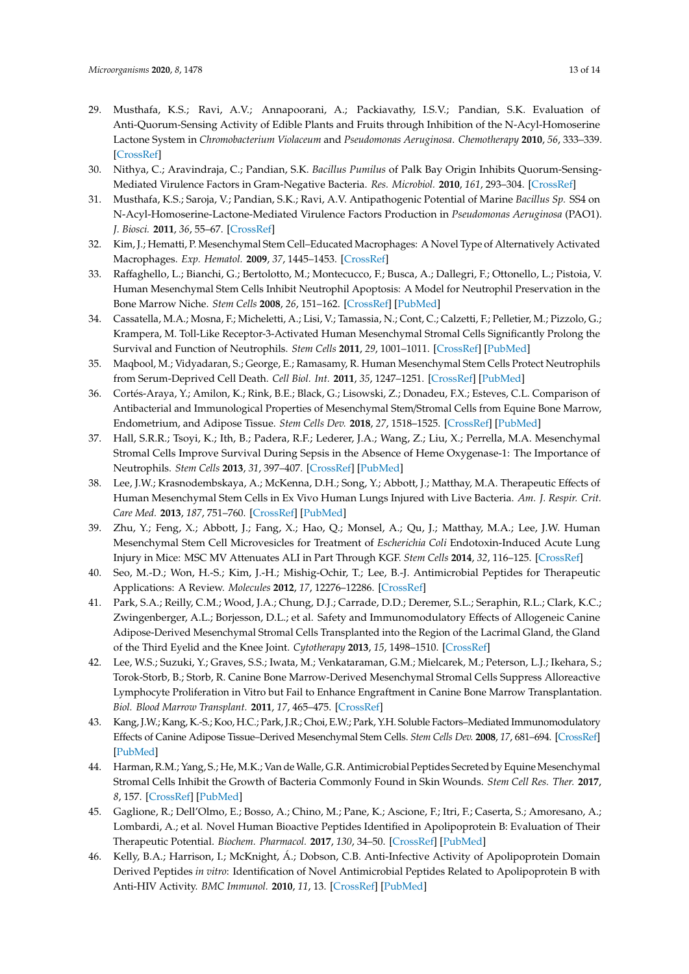- <span id="page-12-0"></span>29. Musthafa, K.S.; Ravi, A.V.; Annapoorani, A.; Packiavathy, I.S.V.; Pandian, S.K. Evaluation of Anti-Quorum-Sensing Activity of Edible Plants and Fruits through Inhibition of the N-Acyl-Homoserine Lactone System in *Chromobacterium Violaceum* and *Pseudomonas Aeruginosa*. *Chemotherapy* **2010**, *56*, 333–339. [\[CrossRef\]](http://dx.doi.org/10.1159/000320185)
- <span id="page-12-1"></span>30. Nithya, C.; Aravindraja, C.; Pandian, S.K. *Bacillus Pumilus* of Palk Bay Origin Inhibits Quorum-Sensing-Mediated Virulence Factors in Gram-Negative Bacteria. *Res. Microbiol.* **2010**, *161*, 293–304. [\[CrossRef\]](http://dx.doi.org/10.1016/j.resmic.2010.03.002)
- <span id="page-12-2"></span>31. Musthafa, K.S.; Saroja, V.; Pandian, S.K.; Ravi, A.V. Antipathogenic Potential of Marine *Bacillus Sp.* SS4 on N-Acyl-Homoserine-Lactone-Mediated Virulence Factors Production in *Pseudomonas Aeruginosa* (PAO1). *J. Biosci.* **2011**, *36*, 55–67. [\[CrossRef\]](http://dx.doi.org/10.1007/s12038-011-9011-7)
- <span id="page-12-3"></span>32. Kim, J.; Hematti, P. Mesenchymal Stem Cell–Educated Macrophages: A Novel Type of Alternatively Activated Macrophages. *Exp. Hematol.* **2009**, *37*, 1445–1453. [\[CrossRef\]](http://dx.doi.org/10.1016/j.exphem.2009.09.004)
- <span id="page-12-4"></span>33. Raffaghello, L.; Bianchi, G.; Bertolotto, M.; Montecucco, F.; Busca, A.; Dallegri, F.; Ottonello, L.; Pistoia, V. Human Mesenchymal Stem Cells Inhibit Neutrophil Apoptosis: A Model for Neutrophil Preservation in the Bone Marrow Niche. *Stem Cells* **2008**, *26*, 151–162. [\[CrossRef\]](http://dx.doi.org/10.1634/stemcells.2007-0416) [\[PubMed\]](http://www.ncbi.nlm.nih.gov/pubmed/17932421)
- 34. Cassatella, M.A.; Mosna, F.; Micheletti, A.; Lisi, V.; Tamassia, N.; Cont, C.; Calzetti, F.; Pelletier, M.; Pizzolo, G.; Krampera, M. Toll-Like Receptor-3-Activated Human Mesenchymal Stromal Cells Significantly Prolong the Survival and Function of Neutrophils. *Stem Cells* **2011**, *29*, 1001–1011. [\[CrossRef\]](http://dx.doi.org/10.1002/stem.651) [\[PubMed\]](http://www.ncbi.nlm.nih.gov/pubmed/21563279)
- 35. Maqbool, M.; Vidyadaran, S.; George, E.; Ramasamy, R. Human Mesenchymal Stem Cells Protect Neutrophils from Serum-Deprived Cell Death. *Cell Biol. Int.* **2011**, *35*, 1247–1251. [\[CrossRef\]](http://dx.doi.org/10.1042/CBI20110070) [\[PubMed\]](http://www.ncbi.nlm.nih.gov/pubmed/21649586)
- <span id="page-12-5"></span>36. Cortés-Araya, Y.; Amilon, K.; Rink, B.E.; Black, G.; Lisowski, Z.; Donadeu, F.X.; Esteves, C.L. Comparison of Antibacterial and Immunological Properties of Mesenchymal Stem/Stromal Cells from Equine Bone Marrow, Endometrium, and Adipose Tissue. *Stem Cells Dev.* **2018**, *27*, 1518–1525. [\[CrossRef\]](http://dx.doi.org/10.1089/scd.2017.0241) [\[PubMed\]](http://www.ncbi.nlm.nih.gov/pubmed/30044182)
- <span id="page-12-6"></span>37. Hall, S.R.R.; Tsoyi, K.; Ith, B.; Padera, R.F.; Lederer, J.A.; Wang, Z.; Liu, X.; Perrella, M.A. Mesenchymal Stromal Cells Improve Survival During Sepsis in the Absence of Heme Oxygenase-1: The Importance of Neutrophils. *Stem Cells* **2013**, *31*, 397–407. [\[CrossRef\]](http://dx.doi.org/10.1002/stem.1270) [\[PubMed\]](http://www.ncbi.nlm.nih.gov/pubmed/23132816)
- <span id="page-12-7"></span>38. Lee, J.W.; Krasnodembskaya, A.; McKenna, D.H.; Song, Y.; Abbott, J.; Matthay, M.A. Therapeutic Effects of Human Mesenchymal Stem Cells in Ex Vivo Human Lungs Injured with Live Bacteria. *Am. J. Respir. Crit. Care Med.* **2013**, *187*, 751–760. [\[CrossRef\]](http://dx.doi.org/10.1164/rccm.201206-0990OC) [\[PubMed\]](http://www.ncbi.nlm.nih.gov/pubmed/23292883)
- <span id="page-12-8"></span>39. Zhu, Y.; Feng, X.; Abbott, J.; Fang, X.; Hao, Q.; Monsel, A.; Qu, J.; Matthay, M.A.; Lee, J.W. Human Mesenchymal Stem Cell Microvesicles for Treatment of *Escherichia Coli* Endotoxin-Induced Acute Lung Injury in Mice: MSC MV Attenuates ALI in Part Through KGF. *Stem Cells* **2014**, *32*, 116–125. [\[CrossRef\]](http://dx.doi.org/10.1002/stem.1504)
- <span id="page-12-9"></span>40. Seo, M.-D.; Won, H.-S.; Kim, J.-H.; Mishig-Ochir, T.; Lee, B.-J. Antimicrobial Peptides for Therapeutic Applications: A Review. *Molecules* **2012**, *17*, 12276–12286. [\[CrossRef\]](http://dx.doi.org/10.3390/molecules171012276)
- <span id="page-12-10"></span>41. Park, S.A.; Reilly, C.M.; Wood, J.A.; Chung, D.J.; Carrade, D.D.; Deremer, S.L.; Seraphin, R.L.; Clark, K.C.; Zwingenberger, A.L.; Borjesson, D.L.; et al. Safety and Immunomodulatory Effects of Allogeneic Canine Adipose-Derived Mesenchymal Stromal Cells Transplanted into the Region of the Lacrimal Gland, the Gland of the Third Eyelid and the Knee Joint. *Cytotherapy* **2013**, *15*, 1498–1510. [\[CrossRef\]](http://dx.doi.org/10.1016/j.jcyt.2013.06.009)
- 42. Lee, W.S.; Suzuki, Y.; Graves, S.S.; Iwata, M.; Venkataraman, G.M.; Mielcarek, M.; Peterson, L.J.; Ikehara, S.; Torok-Storb, B.; Storb, R. Canine Bone Marrow-Derived Mesenchymal Stromal Cells Suppress Alloreactive Lymphocyte Proliferation in Vitro but Fail to Enhance Engraftment in Canine Bone Marrow Transplantation. *Biol. Blood Marrow Transplant.* **2011**, *17*, 465–475. [\[CrossRef\]](http://dx.doi.org/10.1016/j.bbmt.2010.04.016)
- <span id="page-12-11"></span>43. Kang, J.W.; Kang, K.-S.; Koo, H.C.; Park, J.R.; Choi, E.W.; Park, Y.H. Soluble Factors–Mediated Immunomodulatory Effects of Canine Adipose Tissue–Derived Mesenchymal Stem Cells. *Stem Cells Dev.* **2008**, *17*, 681–694. [\[CrossRef\]](http://dx.doi.org/10.1089/scd.2007.0153) [\[PubMed\]](http://www.ncbi.nlm.nih.gov/pubmed/18717642)
- <span id="page-12-12"></span>44. Harman, R.M.; Yang, S.; He, M.K.; Van deWalle, G.R. Antimicrobial Peptides Secreted by Equine Mesenchymal Stromal Cells Inhibit the Growth of Bacteria Commonly Found in Skin Wounds. *Stem Cell Res. Ther.* **2017**, *8*, 157. [\[CrossRef\]](http://dx.doi.org/10.1186/s13287-017-0610-6) [\[PubMed\]](http://www.ncbi.nlm.nih.gov/pubmed/28676123)
- <span id="page-12-13"></span>45. Gaglione, R.; Dell'Olmo, E.; Bosso, A.; Chino, M.; Pane, K.; Ascione, F.; Itri, F.; Caserta, S.; Amoresano, A.; Lombardi, A.; et al. Novel Human Bioactive Peptides Identified in Apolipoprotein B: Evaluation of Their Therapeutic Potential. *Biochem. Pharmacol.* **2017**, *130*, 34–50. [\[CrossRef\]](http://dx.doi.org/10.1016/j.bcp.2017.01.009) [\[PubMed\]](http://www.ncbi.nlm.nih.gov/pubmed/28131846)
- <span id="page-12-14"></span>46. Kelly, B.A.; Harrison, I.; McKnight, Á.; Dobson, C.B. Anti-Infective Activity of Apolipoprotein Domain Derived Peptides *in vitro*: Identification of Novel Antimicrobial Peptides Related to Apolipoprotein B with Anti-HIV Activity. *BMC Immunol.* **2010**, *11*, 13. [\[CrossRef\]](http://dx.doi.org/10.1186/1471-2172-11-13) [\[PubMed\]](http://www.ncbi.nlm.nih.gov/pubmed/20298574)